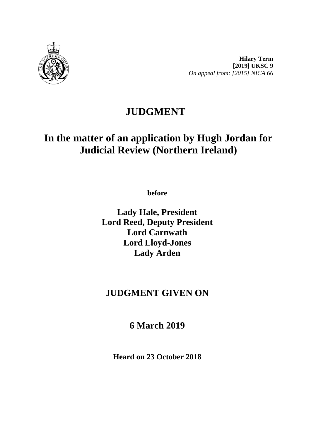

**Hilary Term [2019] UKSC 9** *On appeal from: [2015] NICA 66*

## **JUDGMENT**

# **In the matter of an application by Hugh Jordan for Judicial Review (Northern Ireland)**

**before** 

**Lady Hale, President Lord Reed, Deputy President Lord Carnwath Lord Lloyd-Jones Lady Arden**

## **JUDGMENT GIVEN ON**

**6 March 2019**

**Heard on 23 October 2018**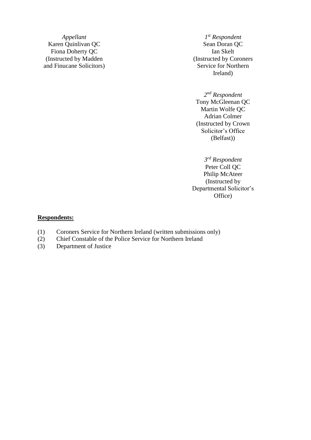Karen Quinlivan QC Fiona Doherty QC Ian Skelt (Instructed by Madden and Finucane Solicitors)

*Appellant*  $I^{st}$  *Respondent*<br> **n** Quinlivan QC Sean Doran QC *st Respondent* (Instructed by Coroners Service for Northern Ireland)

> *2 nd Respondent* Tony McGleenan QC Martin Wolfe QC Adrian Colmer (Instructed by Crown Solicitor's Office (Belfast))

*3 rd Respondent* Peter Coll QC Philip McAteer (Instructed by Departmental Solicitor's Office)

#### **Respondents:**

- (1) Coroners Service for Northern Ireland (written submissions only)
- (2) Chief Constable of the Police Service for Northern Ireland
- (3) Department of Justice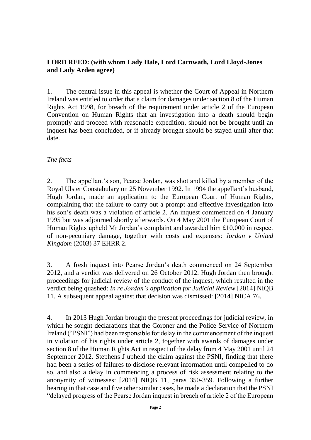### **LORD REED: (with whom Lady Hale, Lord Carnwath, Lord Lloyd-Jones and Lady Arden agree)**

1. The central issue in this appeal is whether the Court of Appeal in Northern Ireland was entitled to order that a claim for damages under section 8 of the Human Rights Act 1998, for breach of the requirement under article 2 of the European Convention on Human Rights that an investigation into a death should begin promptly and proceed with reasonable expedition, should not be brought until an inquest has been concluded, or if already brought should be stayed until after that date.

### *The facts*

2. The appellant's son, Pearse Jordan, was shot and killed by a member of the Royal Ulster Constabulary on 25 November 1992. In 1994 the appellant's husband, Hugh Jordan, made an application to the European Court of Human Rights, complaining that the failure to carry out a prompt and effective investigation into his son's death was a violation of article 2. An inquest commenced on 4 January 1995 but was adjourned shortly afterwards. On 4 May 2001 the European Court of Human Rights upheld Mr Jordan's complaint and awarded him £10,000 in respect of non-pecuniary damage, together with costs and expenses: *Jordan v United Kingdom* (2003) 37 EHRR 2.

3. A fresh inquest into Pearse Jordan's death commenced on 24 September 2012, and a verdict was delivered on 26 October 2012. Hugh Jordan then brought proceedings for judicial review of the conduct of the inquest, which resulted in the verdict being quashed: *In re Jordan's application for Judicial Review* [2014] NIQB 11. A subsequent appeal against that decision was dismissed: [2014] NICA 76.

4. In 2013 Hugh Jordan brought the present proceedings for judicial review, in which he sought declarations that the Coroner and the Police Service of Northern Ireland ("PSNI") had been responsible for delay in the commencement of the inquest in violation of his rights under article 2, together with awards of damages under section 8 of the Human Rights Act in respect of the delay from 4 May 2001 until 24 September 2012. Stephens J upheld the claim against the PSNI, finding that there had been a series of failures to disclose relevant information until compelled to do so, and also a delay in commencing a process of risk assessment relating to the anonymity of witnesses: [2014] NIQB 11, paras 350-359. Following a further hearing in that case and five other similar cases, he made a declaration that the PSNI "delayed progress of the Pearse Jordan inquest in breach of article 2 of the European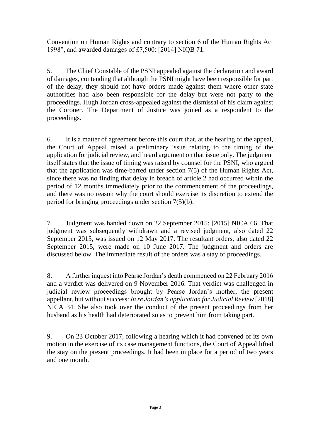Convention on Human Rights and contrary to section 6 of the Human Rights Act 1998", and awarded damages of £7,500: [2014] NIQB 71.

5. The Chief Constable of the PSNI appealed against the declaration and award of damages, contending that although the PSNI might have been responsible for part of the delay, they should not have orders made against them where other state authorities had also been responsible for the delay but were not party to the proceedings. Hugh Jordan cross-appealed against the dismissal of his claim against the Coroner. The Department of Justice was joined as a respondent to the proceedings.

6. It is a matter of agreement before this court that, at the hearing of the appeal, the Court of Appeal raised a preliminary issue relating to the timing of the application for judicial review, and heard argument on that issue only. The judgment itself states that the issue of timing was raised by counsel for the PSNI, who argued that the application was time-barred under section 7(5) of the Human Rights Act, since there was no finding that delay in breach of article 2 had occurred within the period of 12 months immediately prior to the commencement of the proceedings, and there was no reason why the court should exercise its discretion to extend the period for bringing proceedings under section 7(5)(b).

7. Judgment was handed down on 22 September 2015: [2015] NICA 66. That judgment was subsequently withdrawn and a revised judgment, also dated 22 September 2015, was issued on 12 May 2017. The resultant orders, also dated 22 September 2015, were made on 10 June 2017. The judgment and orders are discussed below. The immediate result of the orders was a stay of proceedings.

8. A further inquest into Pearse Jordan's death commenced on 22 February 2016 and a verdict was delivered on 9 November 2016. That verdict was challenged in judicial review proceedings brought by Pearse Jordan's mother, the present appellant, but without success: *In re Jordan's application for Judicial Review* [2018] NICA 34. She also took over the conduct of the present proceedings from her husband as his health had deteriorated so as to prevent him from taking part.

9. On 23 October 2017, following a hearing which it had convened of its own motion in the exercise of its case management functions, the Court of Appeal lifted the stay on the present proceedings. It had been in place for a period of two years and one month.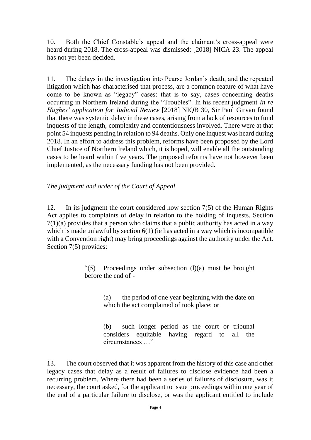10. Both the Chief Constable's appeal and the claimant's cross-appeal were heard during 2018. The cross-appeal was dismissed: [2018] NICA 23. The appeal has not yet been decided.

11. The delays in the investigation into Pearse Jordan's death, and the repeated litigation which has characterised that process, are a common feature of what have come to be known as "legacy" cases: that is to say, cases concerning deaths occurring in Northern Ireland during the "Troubles". In his recent judgment *In re Hughes' application for Judicial Review* [2018] NIQB 30, Sir Paul Girvan found that there was systemic delay in these cases, arising from a lack of resources to fund inquests of the length, complexity and contentiousness involved. There were at that point 54 inquests pending in relation to 94 deaths. Only one inquest was heard during 2018. In an effort to address this problem, reforms have been proposed by the Lord Chief Justice of Northern Ireland which, it is hoped, will enable all the outstanding cases to be heard within five years. The proposed reforms have not however been implemented, as the necessary funding has not been provided.

#### *The judgment and order of the Court of Appeal*

12. In its judgment the court considered how section 7(5) of the Human Rights Act applies to complaints of delay in relation to the holding of inquests. Section  $7(1)(a)$  provides that a person who claims that a public authority has acted in a way which is made unlawful by section 6(1) (ie has acted in a way which is incompatible with a Convention right) may bring proceedings against the authority under the Act. Section 7(5) provides:

> "(5) Proceedings under subsection (l)(a) must be brought before the end of -

> > (a) the period of one year beginning with the date on which the act complained of took place; or

> > (b) such longer period as the court or tribunal considers equitable having regard to all the circumstances …"

13. The court observed that it was apparent from the history of this case and other legacy cases that delay as a result of failures to disclose evidence had been a recurring problem. Where there had been a series of failures of disclosure, was it necessary, the court asked, for the applicant to issue proceedings within one year of the end of a particular failure to disclose, or was the applicant entitled to include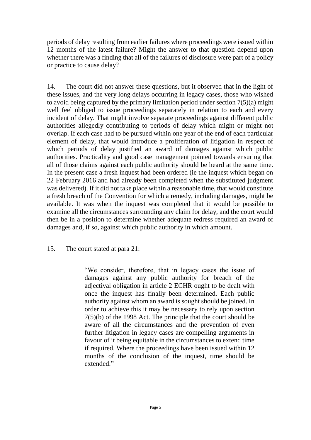periods of delay resulting from earlier failures where proceedings were issued within 12 months of the latest failure? Might the answer to that question depend upon whether there was a finding that all of the failures of disclosure were part of a policy or practice to cause delay?

14. The court did not answer these questions, but it observed that in the light of these issues, and the very long delays occurring in legacy cases, those who wished to avoid being captured by the primary limitation period under section 7(5)(a) might well feel obliged to issue proceedings separately in relation to each and every incident of delay. That might involve separate proceedings against different public authorities allegedly contributing to periods of delay which might or might not overlap. If each case had to be pursued within one year of the end of each particular element of delay, that would introduce a proliferation of litigation in respect of which periods of delay justified an award of damages against which public authorities. Practicality and good case management pointed towards ensuring that all of those claims against each public authority should be heard at the same time. In the present case a fresh inquest had been ordered (ie the inquest which began on 22 February 2016 and had already been completed when the substituted judgment was delivered). If it did not take place within a reasonable time, that would constitute a fresh breach of the Convention for which a remedy, including damages, might be available. It was when the inquest was completed that it would be possible to examine all the circumstances surrounding any claim for delay, and the court would then be in a position to determine whether adequate redress required an award of damages and, if so, against which public authority in which amount.

15. The court stated at para 21:

"We consider, therefore, that in legacy cases the issue of damages against any public authority for breach of the adjectival obligation in article 2 ECHR ought to be dealt with once the inquest has finally been determined. Each public authority against whom an award is sought should be joined. In order to achieve this it may be necessary to rely upon section 7(5)(b) of the 1998 Act. The principle that the court should be aware of all the circumstances and the prevention of even further litigation in legacy cases are compelling arguments in favour of it being equitable in the circumstances to extend time if required. Where the proceedings have been issued within 12 months of the conclusion of the inquest, time should be extended"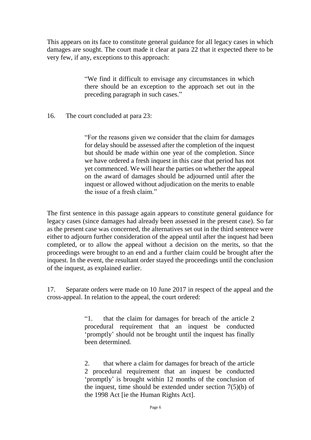This appears on its face to constitute general guidance for all legacy cases in which damages are sought. The court made it clear at para 22 that it expected there to be very few, if any, exceptions to this approach:

> "We find it difficult to envisage any circumstances in which there should be an exception to the approach set out in the preceding paragraph in such cases."

### 16. The court concluded at para 23:

"For the reasons given we consider that the claim for damages for delay should be assessed after the completion of the inquest but should be made within one year of the completion. Since we have ordered a fresh inquest in this case that period has not yet commenced. We will hear the parties on whether the appeal on the award of damages should be adjourned until after the inquest or allowed without adjudication on the merits to enable the issue of a fresh claim."

The first sentence in this passage again appears to constitute general guidance for legacy cases (since damages had already been assessed in the present case). So far as the present case was concerned, the alternatives set out in the third sentence were either to adjourn further consideration of the appeal until after the inquest had been completed, or to allow the appeal without a decision on the merits, so that the proceedings were brought to an end and a further claim could be brought after the inquest. In the event, the resultant order stayed the proceedings until the conclusion of the inquest, as explained earlier.

17. Separate orders were made on 10 June 2017 in respect of the appeal and the cross-appeal. In relation to the appeal, the court ordered:

> "1. that the claim for damages for breach of the article 2 procedural requirement that an inquest be conducted 'promptly' should not be brought until the inquest has finally been determined.

> 2. that where a claim for damages for breach of the article 2 procedural requirement that an inquest be conducted 'promptly' is brought within 12 months of the conclusion of the inquest, time should be extended under section 7(5)(b) of the 1998 Act [ie the Human Rights Act].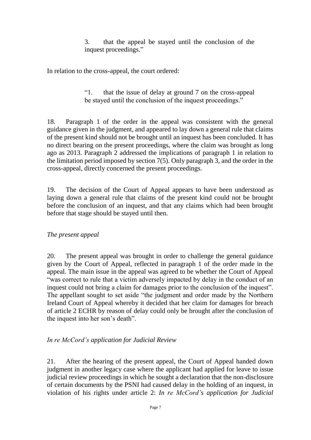3. that the appeal be stayed until the conclusion of the inquest proceedings."

In relation to the cross-appeal, the court ordered:

"1. that the issue of delay at ground 7 on the cross-appeal be stayed until the conclusion of the inquest proceedings."

18. Paragraph 1 of the order in the appeal was consistent with the general guidance given in the judgment, and appeared to lay down a general rule that claims of the present kind should not be brought until an inquest has been concluded. It has no direct bearing on the present proceedings, where the claim was brought as long ago as 2013. Paragraph 2 addressed the implications of paragraph 1 in relation to the limitation period imposed by section 7(5). Only paragraph 3, and the order in the cross-appeal, directly concerned the present proceedings.

19. The decision of the Court of Appeal appears to have been understood as laying down a general rule that claims of the present kind could not be brought before the conclusion of an inquest, and that any claims which had been brought before that stage should be stayed until then.

## *The present appeal*

20. The present appeal was brought in order to challenge the general guidance given by the Court of Appeal, reflected in paragraph 1 of the order made in the appeal. The main issue in the appeal was agreed to be whether the Court of Appeal "was correct to rule that a victim adversely impacted by delay in the conduct of an inquest could not bring a claim for damages prior to the conclusion of the inquest". The appellant sought to set aside "the judgment and order made by the Northern Ireland Court of Appeal whereby it decided that her claim for damages for breach of article 2 ECHR by reason of delay could only be brought after the conclusion of the inquest into her son's death".

## *In re McCord's application for Judicial Review*

21. After the hearing of the present appeal, the Court of Appeal handed down judgment in another legacy case where the applicant had applied for leave to issue judicial review proceedings in which he sought a declaration that the non-disclosure of certain documents by the PSNI had caused delay in the holding of an inquest, in violation of his rights under article 2: *In re McCord's application for Judicial*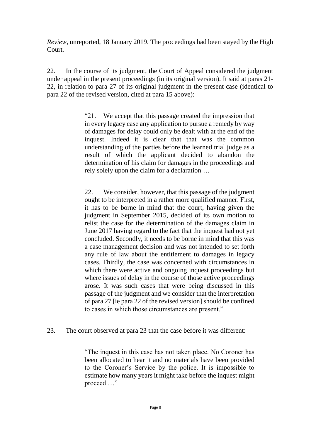*Review,* unreported, 18 January 2019. The proceedings had been stayed by the High Court.

22. In the course of its judgment, the Court of Appeal considered the judgment under appeal in the present proceedings (in its original version). It said at paras 21- 22, in relation to para 27 of its original judgment in the present case (identical to para 22 of the revised version, cited at para 15 above):

> "21. We accept that this passage created the impression that in every legacy case any application to pursue a remedy by way of damages for delay could only be dealt with at the end of the inquest. Indeed it is clear that that was the common understanding of the parties before the learned trial judge as a result of which the applicant decided to abandon the determination of his claim for damages in the proceedings and rely solely upon the claim for a declaration …

> 22. We consider, however, that this passage of the judgment ought to be interpreted in a rather more qualified manner. First, it has to be borne in mind that the court, having given the judgment in September 2015, decided of its own motion to relist the case for the determination of the damages claim in June 2017 having regard to the fact that the inquest had not yet concluded. Secondly, it needs to be borne in mind that this was a case management decision and was not intended to set forth any rule of law about the entitlement to damages in legacy cases. Thirdly, the case was concerned with circumstances in which there were active and ongoing inquest proceedings but where issues of delay in the course of those active proceedings arose. It was such cases that were being discussed in this passage of the judgment and we consider that the interpretation of para 27 [ie para 22 of the revised version] should be confined to cases in which those circumstances are present."

23. The court observed at para 23 that the case before it was different:

"The inquest in this case has not taken place. No Coroner has been allocated to hear it and no materials have been provided to the Coroner's Service by the police. It is impossible to estimate how many years it might take before the inquest might proceed …"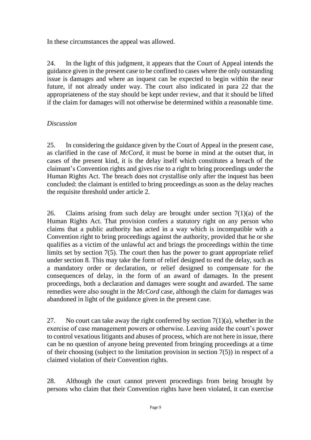In these circumstances the appeal was allowed.

24. In the light of this judgment, it appears that the Court of Appeal intends the guidance given in the present case to be confined to cases where the only outstanding issue is damages and where an inquest can be expected to begin within the near future, if not already under way. The court also indicated in para 22 that the appropriateness of the stay should be kept under review, and that it should be lifted if the claim for damages will not otherwise be determined within a reasonable time.

## *Discussion*

25. In considering the guidance given by the Court of Appeal in the present case, as clarified in the case of *McCord,* it must be borne in mind at the outset that, in cases of the present kind, it is the delay itself which constitutes a breach of the claimant's Convention rights and gives rise to a right to bring proceedings under the Human Rights Act. The breach does not crystallise only after the inquest has been concluded: the claimant is entitled to bring proceedings as soon as the delay reaches the requisite threshold under article 2.

26. Claims arising from such delay are brought under section  $7(1)(a)$  of the Human Rights Act. That provision confers a statutory right on any person who claims that a public authority has acted in a way which is incompatible with a Convention right to bring proceedings against the authority, provided that he or she qualifies as a victim of the unlawful act and brings the proceedings within the time limits set by section 7(5). The court then has the power to grant appropriate relief under section 8. This may take the form of relief designed to end the delay, such as a mandatory order or declaration, or relief designed to compensate for the consequences of delay, in the form of an award of damages. In the present proceedings, both a declaration and damages were sought and awarded. The same remedies were also sought in the *McCord* case, although the claim for damages was abandoned in light of the guidance given in the present case.

27. No court can take away the right conferred by section  $7(1)(a)$ , whether in the exercise of case management powers or otherwise. Leaving aside the court's power to control vexatious litigants and abuses of process, which are not here in issue, there can be no question of anyone being prevented from bringing proceedings at a time of their choosing (subject to the limitation provision in section 7(5)) in respect of a claimed violation of their Convention rights.

28. Although the court cannot prevent proceedings from being brought by persons who claim that their Convention rights have been violated, it can exercise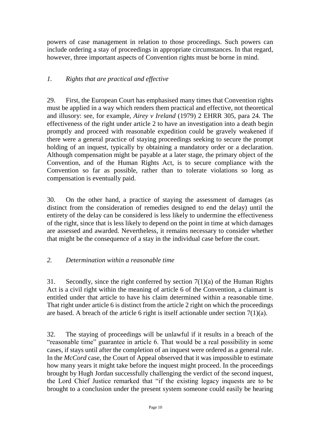powers of case management in relation to those proceedings. Such powers can include ordering a stay of proceedings in appropriate circumstances. In that regard, however, three important aspects of Convention rights must be borne in mind.

## *1. Rights that are practical and effective*

29. First, the European Court has emphasised many times that Convention rights must be applied in a way which renders them practical and effective, not theoretical and illusory: see, for example, *Airey v Ireland* (1979) 2 EHRR 305, para 24. The effectiveness of the right under article 2 to have an investigation into a death begin promptly and proceed with reasonable expedition could be gravely weakened if there were a general practice of staying proceedings seeking to secure the prompt holding of an inquest, typically by obtaining a mandatory order or a declaration. Although compensation might be payable at a later stage, the primary object of the Convention, and of the Human Rights Act, is to secure compliance with the Convention so far as possible, rather than to tolerate violations so long as compensation is eventually paid.

30. On the other hand, a practice of staying the assessment of damages (as distinct from the consideration of remedies designed to end the delay) until the entirety of the delay can be considered is less likely to undermine the effectiveness of the right, since that is less likely to depend on the point in time at which damages are assessed and awarded. Nevertheless, it remains necessary to consider whether that might be the consequence of a stay in the individual case before the court.

## *2. Determination within a reasonable time*

31. Secondly, since the right conferred by section 7(1)(a) of the Human Rights Act is a civil right within the meaning of article 6 of the Convention, a claimant is entitled under that article to have his claim determined within a reasonable time. That right under article 6 is distinct from the article 2 right on which the proceedings are based. A breach of the article 6 right is itself actionable under section 7(1)(a).

32. The staying of proceedings will be unlawful if it results in a breach of the "reasonable time" guarantee in article 6. That would be a real possibility in some cases, if stays until after the completion of an inquest were ordered as a general rule. In the *McCord* case, the Court of Appeal observed that it was impossible to estimate how many years it might take before the inquest might proceed. In the proceedings brought by Hugh Jordan successfully challenging the verdict of the second inquest, the Lord Chief Justice remarked that "if the existing legacy inquests are to be brought to a conclusion under the present system someone could easily be hearing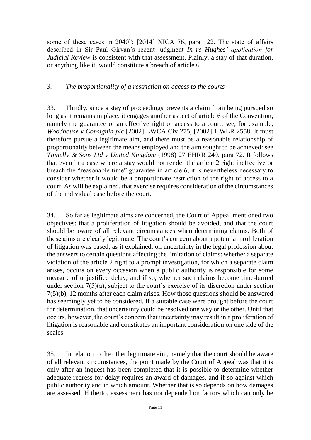some of these cases in 2040": [2014] NICA 76, para 122. The state of affairs described in Sir Paul Girvan's recent judgment *In re Hughes' application for Judicial Review* is consistent with that assessment. Plainly, a stay of that duration, or anything like it, would constitute a breach of article 6.

### *3. The proportionality of a restriction on access to the courts*

33. Thirdly, since a stay of proceedings prevents a claim from being pursued so long as it remains in place, it engages another aspect of article 6 of the Convention, namely the guarantee of an effective right of access to a court: see, for example, *Woodhouse v Consignia plc* [2002] EWCA Civ 275; [2002] 1 WLR 2558. It must therefore pursue a legitimate aim, and there must be a reasonable relationship of proportionality between the means employed and the aim sought to be achieved: see *Tinnelly & Sons Ltd v United Kingdom* (1998) 27 EHRR 249, para 72. It follows that even in a case where a stay would not render the article 2 right ineffective or breach the "reasonable time" guarantee in article 6, it is nevertheless necessary to consider whether it would be a proportionate restriction of the right of access to a court. As will be explained, that exercise requires consideration of the circumstances of the individual case before the court.

34. So far as legitimate aims are concerned, the Court of Appeal mentioned two objectives: that a proliferation of litigation should be avoided, and that the court should be aware of all relevant circumstances when determining claims. Both of those aims are clearly legitimate. The court's concern about a potential proliferation of litigation was based, as it explained, on uncertainty in the legal profession about the answers to certain questions affecting the limitation of claims: whether a separate violation of the article 2 right to a prompt investigation, for which a separate claim arises, occurs on every occasion when a public authority is responsible for some measure of unjustified delay; and if so, whether such claims become time-barred under section 7(5)(a), subject to the court's exercise of its discretion under section 7(5)(b), 12 months after each claim arises. How those questions should be answered has seemingly yet to be considered. If a suitable case were brought before the court for determination, that uncertainty could be resolved one way or the other. Until that occurs, however, the court's concern that uncertainty may result in a proliferation of litigation is reasonable and constitutes an important consideration on one side of the scales.

35. In relation to the other legitimate aim, namely that the court should be aware of all relevant circumstances, the point made by the Court of Appeal was that it is only after an inquest has been completed that it is possible to determine whether adequate redress for delay requires an award of damages, and if so against which public authority and in which amount. Whether that is so depends on how damages are assessed. Hitherto, assessment has not depended on factors which can only be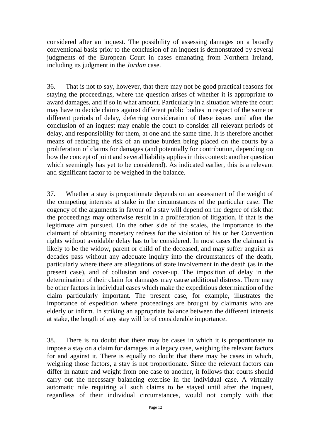considered after an inquest. The possibility of assessing damages on a broadly conventional basis prior to the conclusion of an inquest is demonstrated by several judgments of the European Court in cases emanating from Northern Ireland, including its judgment in the *Jordan* case.

36. That is not to say, however, that there may not be good practical reasons for staying the proceedings, where the question arises of whether it is appropriate to award damages, and if so in what amount. Particularly in a situation where the court may have to decide claims against different public bodies in respect of the same or different periods of delay, deferring consideration of these issues until after the conclusion of an inquest may enable the court to consider all relevant periods of delay, and responsibility for them, at one and the same time. It is therefore another means of reducing the risk of an undue burden being placed on the courts by a proliferation of claims for damages (and potentially for contribution, depending on how the concept of joint and several liability applies in this context: another question which seemingly has yet to be considered). As indicated earlier, this is a relevant and significant factor to be weighed in the balance.

37. Whether a stay is proportionate depends on an assessment of the weight of the competing interests at stake in the circumstances of the particular case. The cogency of the arguments in favour of a stay will depend on the degree of risk that the proceedings may otherwise result in a proliferation of litigation, if that is the legitimate aim pursued. On the other side of the scales, the importance to the claimant of obtaining monetary redress for the violation of his or her Convention rights without avoidable delay has to be considered. In most cases the claimant is likely to be the widow, parent or child of the deceased, and may suffer anguish as decades pass without any adequate inquiry into the circumstances of the death, particularly where there are allegations of state involvement in the death (as in the present case), and of collusion and cover-up. The imposition of delay in the determination of their claim for damages may cause additional distress. There may be other factors in individual cases which make the expeditious determination of the claim particularly important. The present case, for example, illustrates the importance of expedition where proceedings are brought by claimants who are elderly or infirm. In striking an appropriate balance between the different interests at stake, the length of any stay will be of considerable importance.

38. There is no doubt that there may be cases in which it is proportionate to impose a stay on a claim for damages in a legacy case, weighing the relevant factors for and against it. There is equally no doubt that there may be cases in which, weighing those factors, a stay is not proportionate. Since the relevant factors can differ in nature and weight from one case to another, it follows that courts should carry out the necessary balancing exercise in the individual case. A virtually automatic rule requiring all such claims to be stayed until after the inquest, regardless of their individual circumstances, would not comply with that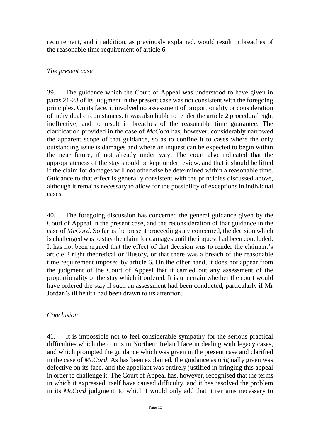requirement, and in addition, as previously explained, would result in breaches of the reasonable time requirement of article 6.

## *The present case*

39. The guidance which the Court of Appeal was understood to have given in paras 21-23 of its judgment in the present case was not consistent with the foregoing principles. On its face, it involved no assessment of proportionality or consideration of individual circumstances. It was also liable to render the article 2 procedural right ineffective, and to result in breaches of the reasonable time guarantee. The clarification provided in the case of *McCord* has, however, considerably narrowed the apparent scope of that guidance, so as to confine it to cases where the only outstanding issue is damages and where an inquest can be expected to begin within the near future, if not already under way. The court also indicated that the appropriateness of the stay should be kept under review, and that it should be lifted if the claim for damages will not otherwise be determined within a reasonable time. Guidance to that effect is generally consistent with the principles discussed above, although it remains necessary to allow for the possibility of exceptions in individual cases.

40. The foregoing discussion has concerned the general guidance given by the Court of Appeal in the present case, and the reconsideration of that guidance in the case of *McCord*. So far as the present proceedings are concerned, the decision which is challenged was to stay the claim for damages until the inquest had been concluded. It has not been argued that the effect of that decision was to render the claimant's article 2 right theoretical or illusory, or that there was a breach of the reasonable time requirement imposed by article 6. On the other hand, it does not appear from the judgment of the Court of Appeal that it carried out any assessment of the proportionality of the stay which it ordered. It is uncertain whether the court would have ordered the stay if such an assessment had been conducted, particularly if Mr Jordan's ill health had been drawn to its attention.

## *Conclusion*

41. It is impossible not to feel considerable sympathy for the serious practical difficulties which the courts in Northern Ireland face in dealing with legacy cases, and which prompted the guidance which was given in the present case and clarified in the case of *McCord*. As has been explained, the guidance as originally given was defective on its face, and the appellant was entirely justified in bringing this appeal in order to challenge it. The Court of Appeal has, however, recognised that the terms in which it expressed itself have caused difficulty, and it has resolved the problem in its *McCord* judgment, to which I would only add that it remains necessary to